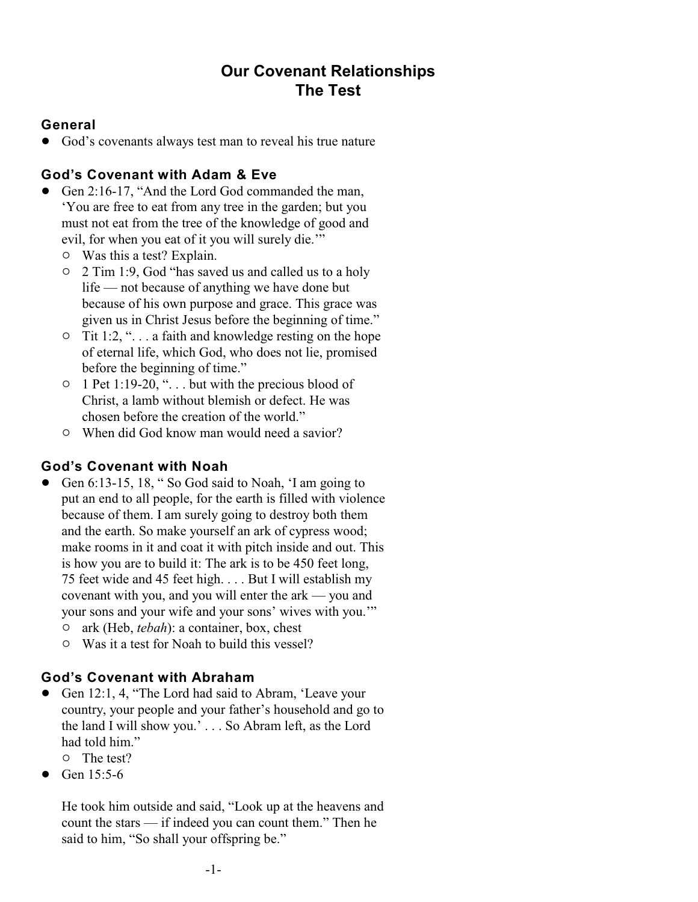# **Our Covenant Relationships The Test**

## **General**

• God's covenants always test man to reveal his true nature

## **God's Covenant with Adam & Eve**

- Gen 2:16-17, "And the Lord God commanded the man, 'You are free to eat from any tree in the garden; but you must not eat from the tree of the knowledge of good and evil, for when you eat of it you will surely die.'"
	- $\circ$  Was this a test? Explain.
	- " 2 Tim 1:9, God "has saved us and called us to a holy life — not because of anything we have done but because of his own purpose and grace. This grace was given us in Christ Jesus before the beginning of time."
	- $\circ$  Tit 1:2, "... a faith and knowledge resting on the hope of eternal life, which God, who does not lie, promised before the beginning of time."
	- $\circ$  1 Pet 1:19-20, " $\dots$  but with the precious blood of Christ, a lamb without blemish or defect. He was chosen before the creation of the world."
	- $\circ$  When did God know man would need a savior?

## **God's Covenant with Noah**

- ! Gen 6:13-15, 18, " So God said to Noah, 'I am going to put an end to all people, for the earth is filled with violence because of them. I am surely going to destroy both them and the earth. So make yourself an ark of cypress wood; make rooms in it and coat it with pitch inside and out. This is how you are to build it: The ark is to be 450 feet long, 75 feet wide and 45 feet high. . . . But I will establish my covenant with you, and you will enter the ark — you and your sons and your wife and your sons' wives with you.'"
	- " ark (Heb, *tebah*): a container, box, chest
	- $\circ$  Was it a test for Noah to build this vessel?

## **God's Covenant with Abraham**

- Gen 12:1, 4, "The Lord had said to Abram, 'Leave your country, your people and your father's household and go to the land I will show you.' . . . So Abram left, as the Lord had told him."
	- o The test?
- Gen  $15:5-6$

He took him outside and said, "Look up at the heavens and count the stars — if indeed you can count them." Then he said to him, "So shall your offspring be."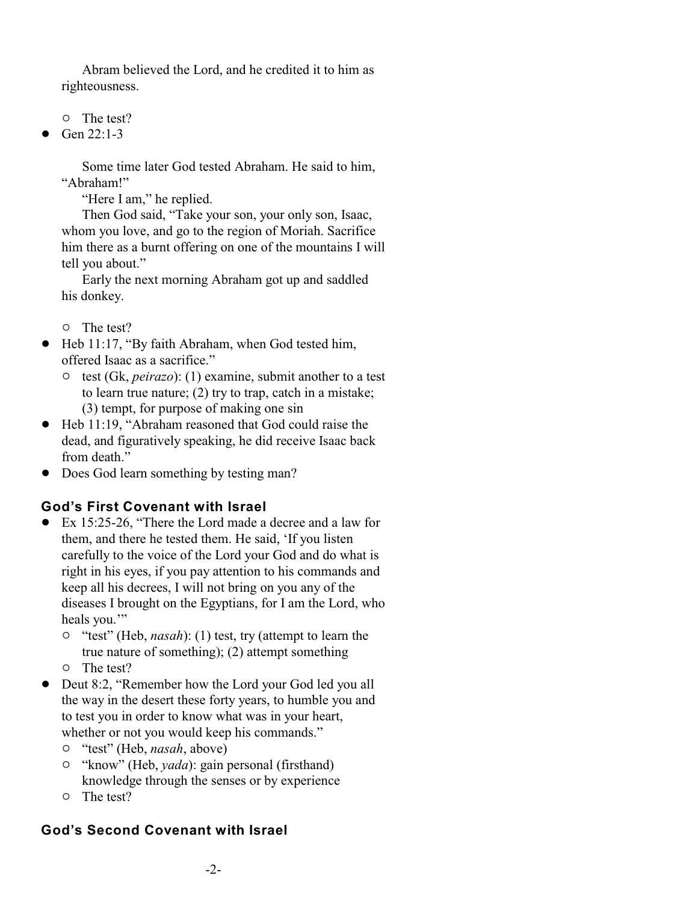Abram believed the Lord, and he credited it to him as righteousness.

- $\circ$  The test?
- Gen 22:1-3

Some time later God tested Abraham. He said to him, "Abraham!"

"Here I am," he replied.

Then God said, "Take your son, your only son, Isaac, whom you love, and go to the region of Moriah. Sacrifice him there as a burnt offering on one of the mountains I will tell you about."

Early the next morning Abraham got up and saddled his donkey.

 $\circ$  The test?

- ! Heb 11:17, "By faith Abraham, when God tested him, offered Isaac as a sacrifice."
	- " test (Gk, *peirazo*): (1) examine, submit another to a test to learn true nature; (2) try to trap, catch in a mistake; (3) tempt, for purpose of making one sin
- ! Heb 11:19, "Abraham reasoned that God could raise the dead, and figuratively speaking, he did receive Isaac back from death."
- Does God learn something by testing man?

## **God's First Covenant with Israel**

- ! Ex 15:25-26, "There the Lord made a decree and a law for them, and there he tested them. He said, 'If you listen carefully to the voice of the Lord your God and do what is right in his eyes, if you pay attention to his commands and keep all his decrees, I will not bring on you any of the diseases I brought on the Egyptians, for I am the Lord, who heals you."
	- " "test" (Heb, *nasah*): (1) test, try (attempt to learn the true nature of something); (2) attempt something
	- $\circ$  The test?
- Deut 8:2, "Remember how the Lord your God led you all the way in the desert these forty years, to humble you and to test you in order to know what was in your heart, whether or not you would keep his commands."
	- " "test" (Heb, *nasah*, above)
	- <sup>o</sup> "know" (Heb, *yada*): gain personal (firsthand) knowledge through the senses or by experience
	- $\circ$  The test?

## **God's Second Covenant with Israel**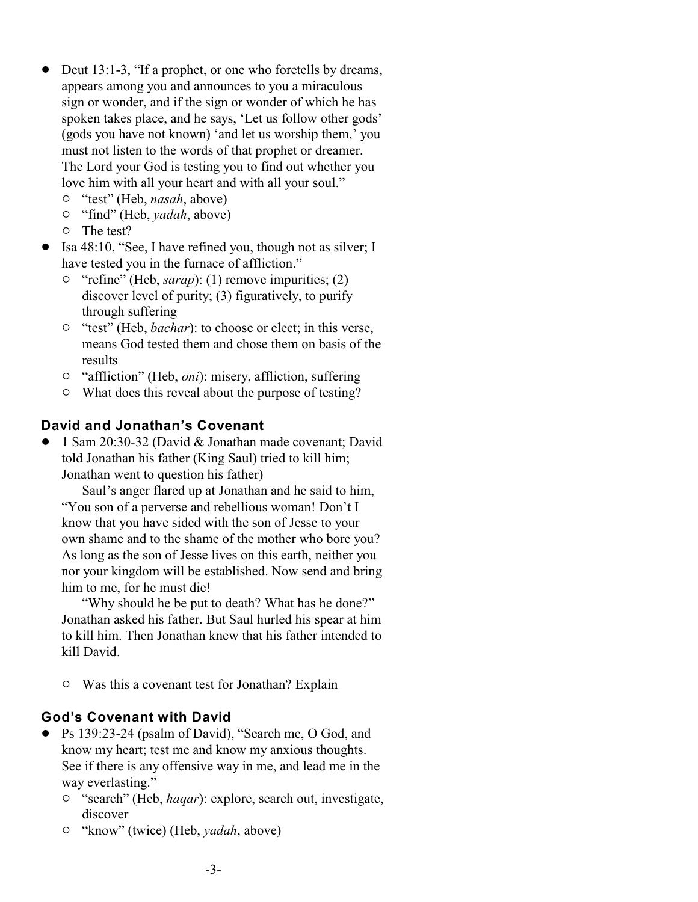- Deut 13:1-3, "If a prophet, or one who foretells by dreams, appears among you and announces to you a miraculous sign or wonder, and if the sign or wonder of which he has spoken takes place, and he says, 'Let us follow other gods' (gods you have not known) 'and let us worship them,' you must not listen to the words of that prophet or dreamer. The Lord your God is testing you to find out whether you love him with all your heart and with all your soul."
	- " "test" (Heb, *nasah*, above)
	- " "find" (Heb, *yadah*, above)
	- $\circ$  The test?
- Isa 48:10, "See, I have refined you, though not as silver; I have tested you in the furnace of affliction."
	- " "refine" (Heb, *sarap*): (1) remove impurities; (2) discover level of purity; (3) figuratively, to purify through suffering
	- <sup>o</sup> "test" (Heb, *bachar*): to choose or elect; in this verse, means God tested them and chose them on basis of the results
	- <sup>o</sup> "affliction" (Heb, *oni*): misery, affliction, suffering
	- $\circ$  What does this reveal about the purpose of testing?

#### **David and Jonathan's Covenant**

! 1 Sam 20:30-32 (David & Jonathan made covenant; David told Jonathan his father (King Saul) tried to kill him; Jonathan went to question his father)

Saul's anger flared up at Jonathan and he said to him, "You son of a perverse and rebellious woman! Don't I know that you have sided with the son of Jesse to your own shame and to the shame of the mother who bore you? As long as the son of Jesse lives on this earth, neither you nor your kingdom will be established. Now send and bring him to me, for he must die!

"Why should he be put to death? What has he done?" Jonathan asked his father. But Saul hurled his spear at him to kill him. Then Jonathan knew that his father intended to kill David.

 $\circ$  Was this a covenant test for Jonathan? Explain

#### **God's Covenant with David**

- ! Ps 139:23-24 (psalm of David), "Search me, O God, and know my heart; test me and know my anxious thoughts. See if there is any offensive way in me, and lead me in the way everlasting."
	- <sup>o</sup> "search" (Heb, *haqar*): explore, search out, investigate, discover
	- " "know" (twice) (Heb, *yadah*, above)